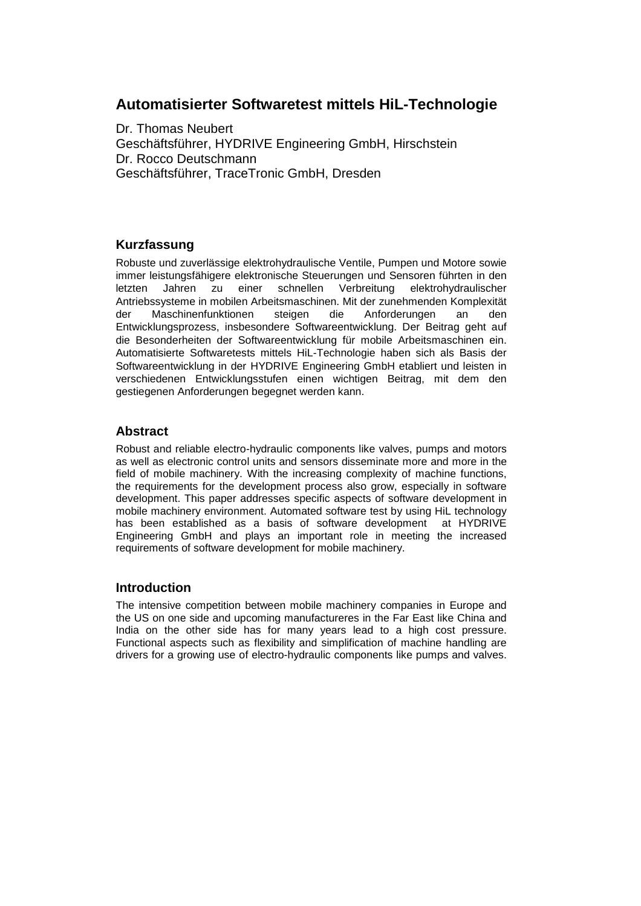# **Automatisierter Softwaretest mittels HiL-Technologie**

Dr. Thomas Neubert Geschäftsführer, HYDRIVE Engineering GmbH, Hirschstein Dr. Rocco Deutschmann Geschäftsführer, TraceTronic GmbH, Dresden

## **Kurzfassung**

Robuste und zuverlässige elektrohydraulische Ventile, Pumpen und Motore sowie immer leistungsfähigere elektronische Steuerungen und Sensoren führten in den letzten Jahren zu einer schnellen Verbreitung elektrohydraulischer Antriebssysteme in mobilen Arbeitsmaschinen. Mit der zunehmenden Komplexität der Maschinenfunktionen steigen die Anforderungen an den Entwicklungsprozess, insbesondere Softwareentwicklung. Der Beitrag geht auf die Besonderheiten der Softwareentwicklung für mobile Arbeitsmaschinen ein. Automatisierte Softwaretests mittels HiL-Technologie haben sich als Basis der Softwareentwicklung in der HYDRIVE Engineering GmbH etabliert und leisten in verschiedenen Entwicklungsstufen einen wichtigen Beitrag, mit dem den gestiegenen Anforderungen begegnet werden kann.

## **Abstract**

Robust and reliable electro-hydraulic components like valves, pumps and motors as well as electronic control units and sensors disseminate more and more in the field of mobile machinery. With the increasing complexity of machine functions, the requirements for the development process also grow, especially in software development. This paper addresses specific aspects of software development in mobile machinery environment. Automated software test by using HiL technology has been established as a basis of software development at HYDRIVE Engineering GmbH and plays an important role in meeting the increased requirements of software development for mobile machinery.

## **Introduction**

The intensive competition between mobile machinery companies in Europe and the US on one side and upcoming manufactureres in the Far East like China and India on the other side has for many years lead to a high cost pressure. Functional aspects such as flexibility and simplification of machine handling are drivers for a growing use of electro-hydraulic components like pumps and valves.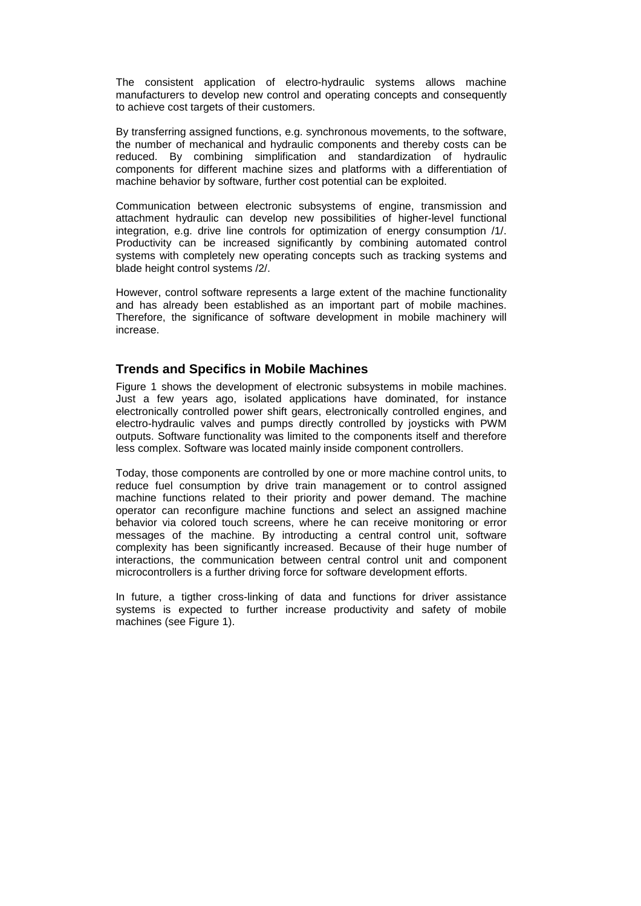The consistent application of electro-hydraulic systems allows machine manufacturers to develop new control and operating concepts and consequently to achieve cost targets of their customers.

By transferring assigned functions, e.g. synchronous movements, to the software, the number of mechanical and hydraulic components and thereby costs can be reduced. By combining simplification and standardization of hydraulic components for different machine sizes and platforms with a differentiation of machine behavior by software, further cost potential can be exploited.

Communication between electronic subsystems of engine, transmission and attachment hydraulic can develop new possibilities of higher-level functional integration, e.g. drive line controls for optimization of energy consumption /1/. Productivity can be increased significantly by combining automated control systems with completely new operating concepts such as tracking systems and blade height control systems /2/.

However, control software represents a large extent of the machine functionality and has already been established as an important part of mobile machines. Therefore, the significance of software development in mobile machinery will increase.

#### **Trends and Specifics in Mobile Machines**

Figure 1 shows the development of electronic subsystems in mobile machines. Just a few years ago, isolated applications have dominated, for instance electronically controlled power shift gears, electronically controlled engines, and electro-hydraulic valves and pumps directly controlled by joysticks with PWM outputs. Software functionality was limited to the components itself and therefore less complex. Software was located mainly inside component controllers.

Today, those components are controlled by one or more machine control units, to reduce fuel consumption by drive train management or to control assigned machine functions related to their priority and power demand. The machine operator can reconfigure machine functions and select an assigned machine behavior via colored touch screens, where he can receive monitoring or error messages of the machine. By introducting a central control unit, software complexity has been significantly increased. Because of their huge number of interactions, the communication between central control unit and component microcontrollers is a further driving force for software development efforts.

In future, a tigther cross-linking of data and functions for driver assistance systems is expected to further increase productivity and safety of mobile machines (see Figure 1).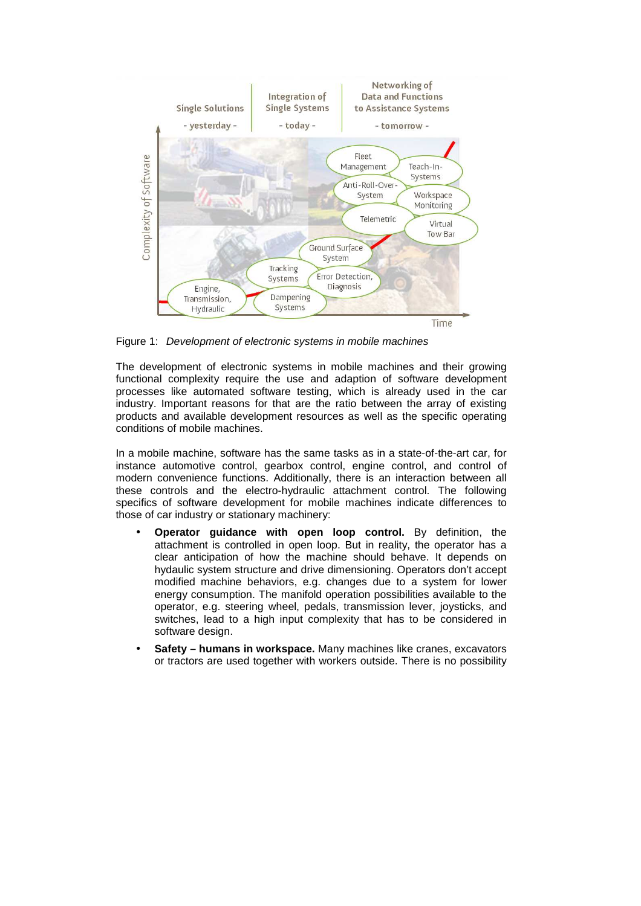

Figure 1: Development of electronic systems in mobile machines

The development of electronic systems in mobile machines and their growing functional complexity require the use and adaption of software development processes like automated software testing, which is already used in the car industry. Important reasons for that are the ratio between the array of existing products and available development resources as well as the specific operating conditions of mobile machines.

In a mobile machine, software has the same tasks as in a state-of-the-art car, for instance automotive control, gearbox control, engine control, and control of modern convenience functions. Additionally, there is an interaction between all these controls and the electro-hydraulic attachment control. The following specifics of software development for mobile machines indicate differences to those of car industry or stationary machinery:

- **Operator guidance with open loop control.** By definition, the attachment is controlled in open loop. But in reality, the operator has a clear anticipation of how the machine should behave. It depends on hydaulic system structure and drive dimensioning. Operators don't accept modified machine behaviors, e.g. changes due to a system for lower energy consumption. The manifold operation possibilities available to the operator, e.g. steering wheel, pedals, transmission lever, joysticks, and switches, lead to a high input complexity that has to be considered in software design.
- **Safety humans in workspace.** Many machines like cranes, excavators or tractors are used together with workers outside. There is no possibility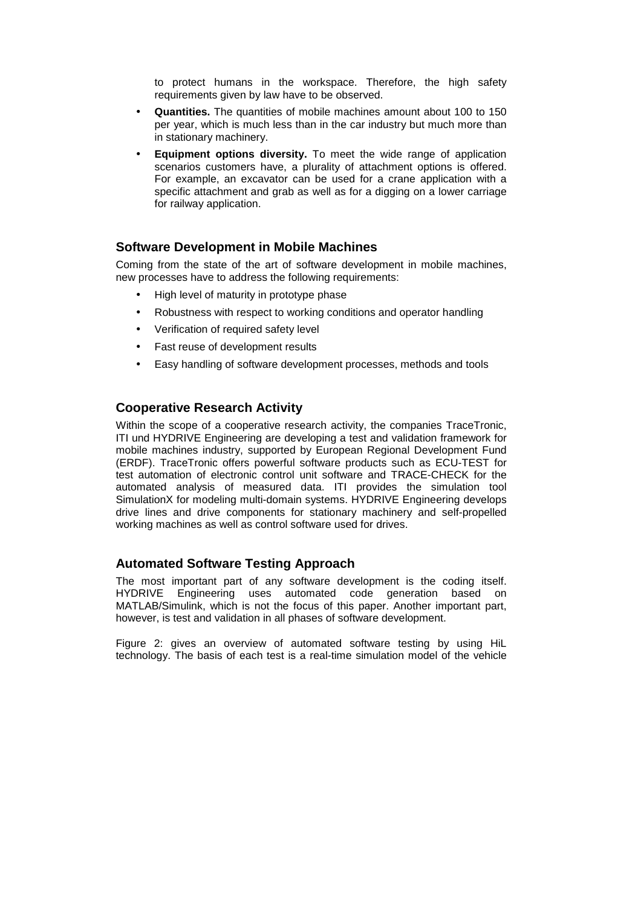to protect humans in the workspace. Therefore, the high safety requirements given by law have to be observed.

- **Quantities.** The quantities of mobile machines amount about 100 to 150 per year, which is much less than in the car industry but much more than in stationary machinery.
- **Equipment options diversity.** To meet the wide range of application scenarios customers have, a plurality of attachment options is offered. For example, an excavator can be used for a crane application with a specific attachment and grab as well as for a digging on a lower carriage for railway application.

## **Software Development in Mobile Machines**

Coming from the state of the art of software development in mobile machines, new processes have to address the following requirements:

- High level of maturity in prototype phase
- Robustness with respect to working conditions and operator handling
- Verification of required safety level
- Fast reuse of development results
- Easy handling of software development processes, methods and tools

## **Cooperative Research Activity**

Within the scope of a cooperative research activity, the companies TraceTronic, ITI und HYDRIVE Engineering are developing a test and validation framework for mobile machines industry, supported by European Regional Development Fund (ERDF). TraceTronic offers powerful software products such as ECU-TEST for test automation of electronic control unit software and TRACE-CHECK for the automated analysis of measured data. ITI provides the simulation tool SimulationX for modeling multi-domain systems. HYDRIVE Engineering develops drive lines and drive components for stationary machinery and self-propelled working machines as well as control software used for drives.

## **Automated Software Testing Approach**

The most important part of any software development is the coding itself. HYDRIVE Engineering uses automated code generation based on MATLAB/Simulink, which is not the focus of this paper. Another important part, however, is test and validation in all phases of software development.

Figure 2: gives an overview of automated software testing by using HiL technology. The basis of each test is a real-time simulation model of the vehicle